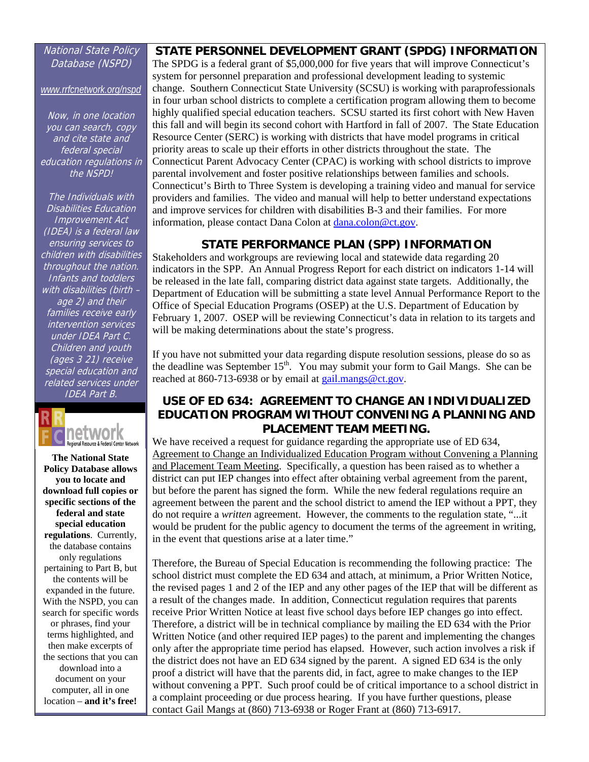#### National State Policy Database (NSPD)

*[www.rrfcnetwork.org/nspd](http://www.rrfcnetwork.org/nspd)*

Now, in one location you can search, copy and cite state and federal special education regulations in the NSPD!

- (ages 3 21) receive The Individuals with Disabilities Education Improvement Act (IDEA) is a federal law ensuring services to children with disabilities throughout the nation. Infants and toddlers with disabilities (birth – age 2) and their families receive early intervention services under IDEA Part C. Children and youth special education and related services under IDEA Part B.



**The National State Policy Database allows you to locate and download full copies or specific sections of the federal and state special education regulations**. Currently, the database contains only regulations pertaining to Part B, but the contents will be expanded in the future. With the NSPD, you can search for specific words or phrases, find your terms highlighted, and then make excerpts of the sections that you can download into a document on your computer, all in one location – **and it's free!** 

### **STATE PERSONNEL DEVELOPMENT GRANT (SPDG) INFORMATION**

The SPDG is a federal grant of \$5,000,000 for five years that will improve Connecticut's system for personnel preparation and professional development leading to systemic change. Southern Connecticut State University (SCSU) is working with paraprofessionals in four urban school districts to complete a certification program allowing them to become highly qualified special education teachers. SCSU started its first cohort with New Haven this fall and will begin its second cohort with Hartford in fall of 2007. The State Education Resource Center (SERC) is working with districts that have model programs in critical priority areas to scale up their efforts in other districts throughout the state. The Connecticut Parent Advocacy Center (CPAC) is working with school districts to improve parental involvement and foster positive relationships between families and schools. Connecticut's Birth to Three System is developing a training video and manual for service providers and families. The video and manual will help to better understand expectations and improve services for children with disabilities B-3 and their families. For more information, please contact Dana Colon at dana[.colon@ct.gov.](mailto:colon@ct.gov) 

# **STATE PERFORMANCE PLAN (SPP) INFORMATION**

Stakeholders and workgroups are reviewing local and statewide data regarding 20 indicators in the SPP. An Annual Progress Report for each district on indicators 1-14 will be released in the late fall, comparing district data against state targets. Additionally, the Department of Education will be submitting a state level Annual Performance Report to the Office of Special Education Programs (OSEP) at the U.S. Department of Education by February 1, 2007. OSEP will be reviewing Connecticut's data in relation to its targets and will be making determinations about the state's progress.

If you have not submitted your data regarding dispute resolution sessions, please do so as the deadline was September  $15<sup>th</sup>$ . You may submit your form to Gail Mangs. She can be reached at 860-713-6938 or by email at gail.mangs@ct.gov.

# **USE OF ED 634: AGREEMENT TO CHANGE AN INDIVIDUALIZED EDUCATION PROGRAM WITHOUT CONVENING A PLANNING AND PLACEMENT TEAM MEETING.**

We have received a request for guidance regarding the appropriate use of ED 634, Agreement to Change an Individualized Education Program without Convening a Planning and Placement Team Meeting. Specifically, a question has been raised as to whether a district can put IEP changes into effect after obtaining verbal agreement from the parent, but before the parent has signed the form. While the new federal regulations require an agreement between the parent and the school district to amend the IEP without a PPT, they do not require a *written* agreement. However, the comments to the regulation state, "...it would be prudent for the public agency to document the terms of the agreement in writing, in the event that questions arise at a later time."

Therefore, the Bureau of Special Education is recommending the following practice: The school district must complete the ED 634 and attach, at minimum, a Prior Written Notice, the revised pages 1 and 2 of the IEP and any other pages of the IEP that will be different as a result of the changes made. In addition, Connecticut regulation requires that parents receive Prior Written Notice at least five school days before IEP changes go into effect. Therefore, a district will be in technical compliance by mailing the ED 634 with the Prior Written Notice (and other required IEP pages) to the parent and implementing the changes only after the appropriate time period has elapsed. However, such action involves a risk if the district does not have an ED 634 signed by the parent. A signed ED 634 is the only proof a district will have that the parents did, in fact, agree to make changes to the IEP without convening a PPT. Such proof could be of critical importance to a school district in a complaint proceeding or due process hearing. If you have further questions, please contact Gail Mangs at (860) 713-6938 or Roger Frant at (860) 713-6917.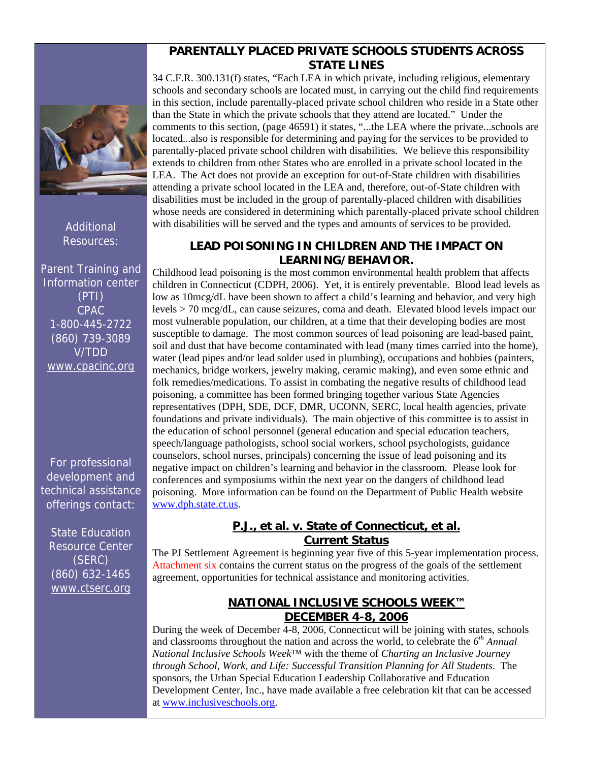Additional Resources:

Parent Training and Information center (PTI) CPAC 1-800-445-2722 (860) 739-3089 V/TDD [www.cpacinc.org](http://www.cpacinc.org/) 

For professional development and technical assistance offerings contact:

State Education Resource Center (SERC) (860) 632-1465 [www.ctserc.org](http://www.ctserc.org/) 

# **PARENTALLY PLACED PRIVATE SCHOOLS STUDENTS ACROSS STATE LINES**

<span id="page-2-0"></span>34 C.F.R. 300.131(f) states, "Each LEA in which private, including religious, elementary schools and secondary schools are located must, in carrying out the child find requirements in this section, include parentally-placed private school children who reside in a State other than the State in which the private schools that they attend are located." Under the comments to this section, (page 46591) it states, "...the LEA where the private...schools are located...also is responsible for determining and paying for the services to be provided to parentally-placed private school children with disabilities. We believe this responsibility extends to children from other States who are enrolled in a private school located in the LEA. The Act does not provide an exception for out-of-State children with disabilities attending a private school located in the LEA and, therefore, out-of-State children with disabilities must be included in the group of parentally-placed children with disabilities whose needs are considered in determining which parentally-placed private school children with disabilities will be served and the types and amounts of services to be provided.

# **LEAD POISONING IN CHILDREN AND THE IMPACT ON LEARNING/BEHAVIOR.**

Childhood lead poisoning is the most common environmental health problem that affects children in Connecticut (CDPH, 2006). Yet, it is entirely preventable. Blood lead levels as low as 10mcg/dL have been shown to affect a child's learning and behavior, and very high levels > 70 mcg/dL, can cause seizures, coma and death. Elevated blood levels impact our most vulnerable population, our children, at a time that their developing bodies are most susceptible to damage. The most common sources of lead poisoning are lead-based paint, soil and dust that have become contaminated with lead (many times carried into the home), water (lead pipes and/or lead solder used in plumbing), occupations and hobbies (painters, mechanics, bridge workers, jewelry making, ceramic making), and even some ethnic and folk remedies/medications. To assist in combating the negative results of childhood lead poisoning, a committee has been formed bringing together various State Agencies representatives (DPH, SDE, DCF, DMR, UCONN, SERC, local health agencies, private foundations and private individuals). The main objective of this committee is to assist in the education of school personnel (general education and special education teachers, speech/language pathologists, school social workers, school psychologists, guidance counselors, school nurses, principals) concerning the issue of lead poisoning and its negative impact on children's learning and behavior in the classroom. Please look for conferences and symposiums within the next year on the dangers of childhood lead poisoning. More information can be found on the Department of Public Health website [www.dph.state.ct.us.](http://www.dph.state.ct.us)

# **P.J., et al. v. State of Connecticut, et al. Current Status**

The PJ Settlement Agreement is beginning year five of this 5-year implementation process. [Attachment six](#page-14-0) contains the current status on the progress of the goals of the settlement agreement, opportunities for technical assistance and monitoring activities.

# **NATIONAL INCLUSIVE SCHOOLS WEEK™ DECEMBER 4-8, 2006**

During the week of December  $\overline{4-8}$ , 2006, Connecticut will be joining with states, schools and classrooms throughout the nation and across the world, to celebrate the *6th Annual National Inclusive Schools Week*™ with the theme of *Charting an Inclusive Journey through School, Work, and Life: Successful Transition Planning for All Students*. The sponsors, the Urban Special Education Leadership Collaborative and Education Development Center, Inc., have made available a free celebration kit that can be accessed at [www.inclusiveschools.org.](http://www.inclusiveschools.org)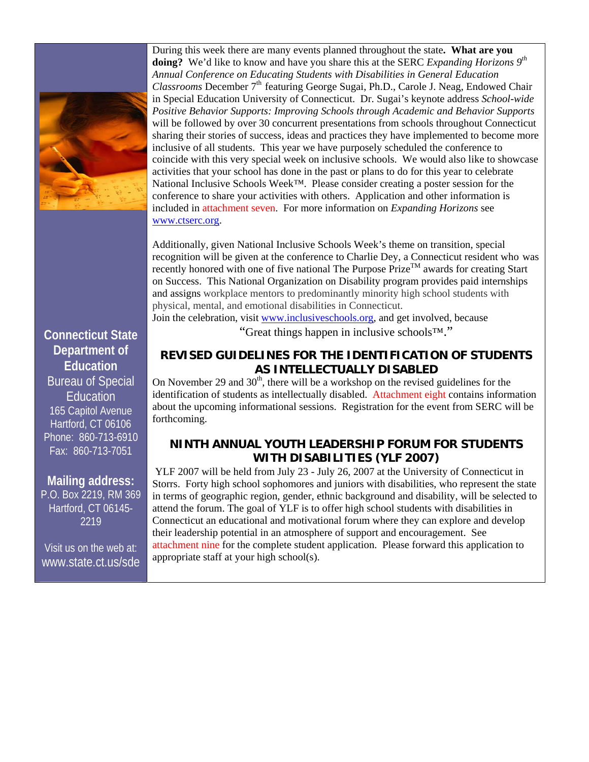<span id="page-3-0"></span>

During this week there are many events planned throughout the state**. What are you**  doing? We'd like to know and have you share this at the SERC *Expanding Horizons*  $9<sup>th</sup>$ *Annual Conference on Educating Students with Disabilities in General Education Classrooms* December 7<sup>th</sup> featuring George Sugai, Ph.D., Carole J. Neag, Endowed Chair in Special Education University of Connecticut. Dr. Sugai's keynote address *School-wide Positive Behavior Supports: Improving Schools through Academic and Behavior Supports*  will be followed by over 30 concurrent presentations from schools throughout Connecticut sharing their stories of success, ideas and practices they have implemented to become more inclusive of all students. This year we have purposely scheduled the conference to coincide with this very special week on inclusive schools. We would also like to showcase activities that your school has done in the past or plans to do for this year to celebrate National Inclusive Schools Week*™*. Please consider creating a poster session for the conference to share your activities with others. Application and other information is included in [attachment seven.](#page-18-0) For more information on *Expanding Horizons* see [www.ctserc.org.](http://www.ctserc.org) 

Additionally, given National Inclusive Schools Week's theme on transition, special recognition will be given at the conference to Charlie Dey, a Connecticut resident who was recently honored with one of five national The Purpose  $\text{Price}^{\text{TM}}$  awards for creating Start on Success. This National Organization on Disability program provides paid internships and assigns workplace mentors to predominantly minority high school students with physical, mental, and emotional disabilities in Connecticut.

Join the celebration, visit [www.inclusiveschools.org,](http://www.inclusiveschools.org) and get involved, because

"Great things happen in inclusive schools™."

# **REVISED GUIDELINES FOR THE IDENTIFICATION OF STUDENTS AS INTELLECTUALLY DISABLED**

On November 29 and  $30<sup>th</sup>$ , there will be a workshop on the revised guidelines for the identification of students as intellectually disabled. [Attachment eight c](#page-20-0)ontains information about the upcoming informational sessions. Registration for the event from SERC will be forthcoming.

# **NINTH ANNUAL YOUTH LEADERSHIP FORUM FOR STUDENTS WITH DISABILITIES (YLF 2007)**

YLF 2007 will be held from July 23 - July 26, 2007 at the University of Connecticut in Storrs. Forty high school sophomores and juniors with disabilities, who represent the state in terms of geographic region, gender, ethnic background and disability, will be selected to attend the forum. The goal of YLF is to offer high school students with disabilities in Connecticut an educational and motivational forum where they can explore and develop their leadership potential in an atmosphere of support and encouragement. See [attachment nine f](#page-21-0)or the complete student application. Please forward this application to appropriate staff at your high school(s).

# **Connecticut State Department of Education**  Bureau of Special

Education 165 Capitol Avenue Hartford, CT 06106 Phone: 860-713-6910 Fax: 860-713-7051

# **Mailing address:**

P.O. Box 2219, RM 369 Hartford, CT 06145- 2219

Visit us on the web at: [www.state.ct.us/sde](http://www.state.ct.us/sde)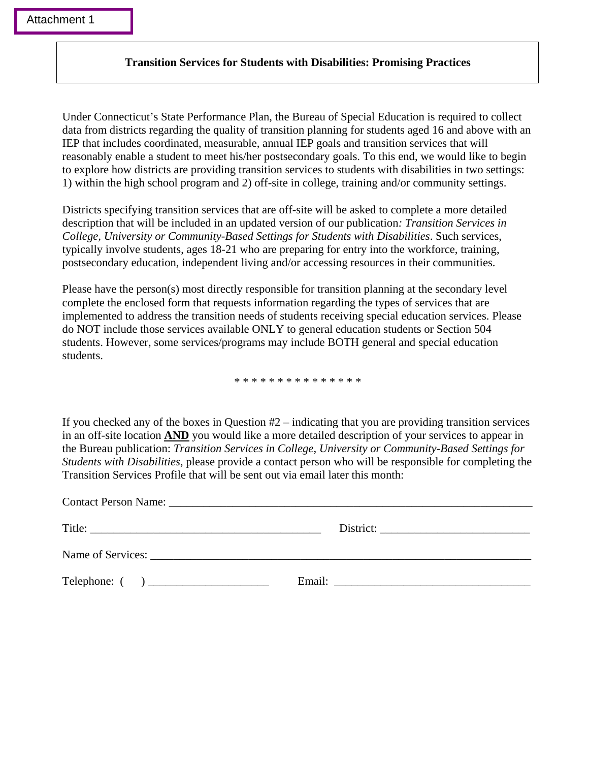### **Transition Services for Students with Disabilities: Promising Practices**

Under Connecticut's State Performance Plan, the Bureau of Special Education is required to collect data from districts regarding the quality of transition planning for students aged 16 and above with an IEP that includes coordinated, measurable, annual IEP goals and transition services that will reasonably enable a student to meet his/her postsecondary goals. To this end, we would like to begin to explore how districts are providing transition services to students with disabilities in two settings: 1) within the high school program and 2) off-site in college, training and/or community settings.

Districts specifying transition services that are off-site will be asked to complete a more detailed description that will be included in an updated version of our publication*: Transition Services in College, University or Community-Based Settings for Students with Disabilities*. Such services, typically involve students, ages 18-21 who are preparing for entry into the workforce, training, postsecondary education, independent living and/or accessing resources in their communities.

Please have the person(s) most directly responsible for transition planning at the secondary level complete the enclosed form that requests information regarding the types of services that are implemented to address the transition needs of students receiving special education services. Please do NOT include those services available ONLY to general education students or Section 504 students. However, some services/programs may include BOTH general and special education students.

\* \* \* \* \* \* \* \* \* \* \* \* \* \* \*

If you checked any of the boxes in Question #2 – indicating that you are providing transition services in an off-site location **AND** you would like a more detailed description of your services to appear in the Bureau publication: *Transition Services in College, University or Community-Based Settings for Students with Disabilities*, please provide a contact person who will be responsible for completing the Transition Services Profile that will be sent out via email later this month:

| Email: The contract of the contract of the contract of the contract of the contract of the contract of the contract of the contract of the contract of the contract of the contract of the contract of the contract of the con |
|--------------------------------------------------------------------------------------------------------------------------------------------------------------------------------------------------------------------------------|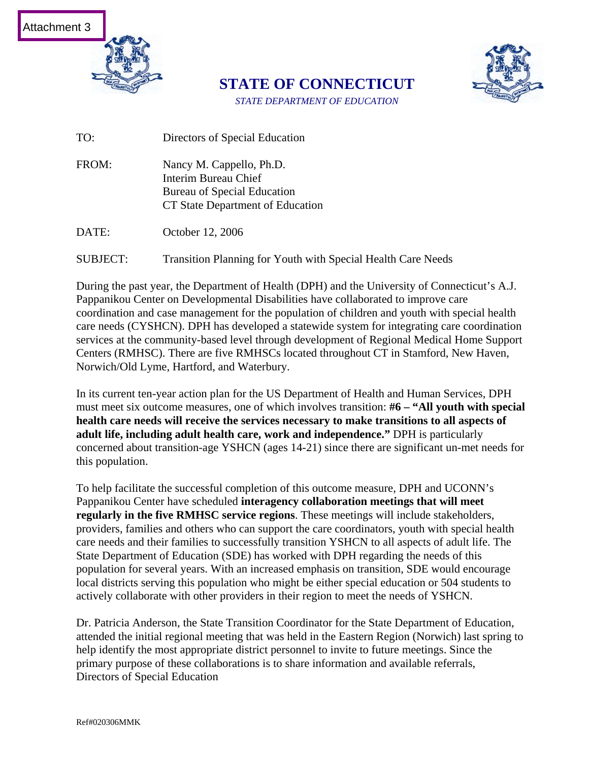

**STATE OF CONNECTICUT**  *STATE DEPARTMENT OF EDUCATION* 



TO: Directors of Special Education

FROM: Nancy M. Cappello, Ph.D. Interim Bureau Chief Bureau of Special Education CT State Department of Education

DATE: October 12, 2006

SUBJECT: Transition Planning for Youth with Special Health Care Needs

During the past year, the Department of Health (DPH) and the University of Connecticut's A.J. Pappanikou Center on Developmental Disabilities have collaborated to improve care coordination and case management for the population of children and youth with special health care needs (CYSHCN). DPH has developed a statewide system for integrating care coordination services at the community-based level through development of Regional Medical Home Support Centers (RMHSC). There are five RMHSCs located throughout CT in Stamford, New Haven, Norwich/Old Lyme, Hartford, and Waterbury.

In its current ten-year action plan for the US Department of Health and Human Services, DPH must meet six outcome measures, one of which involves transition: **#6 – "All youth with special health care needs will receive the services necessary to make transitions to all aspects of adult life, including adult health care, work and independence."** DPH is particularly concerned about transition-age YSHCN (ages 14-21) since there are significant un-met needs for this population.

To help facilitate the successful completion of this outcome measure, DPH and UCONN's Pappanikou Center have scheduled **interagency collaboration meetings that will meet regularly in the five RMHSC service regions**. These meetings will include stakeholders, providers, families and others who can support the care coordinators, youth with special health care needs and their families to successfully transition YSHCN to all aspects of adult life. The State Department of Education (SDE) has worked with DPH regarding the needs of this population for several years. With an increased emphasis on transition, SDE would encourage local districts serving this population who might be either special education or 504 students to actively collaborate with other providers in their region to meet the needs of YSHCN.

Dr. Patricia Anderson, the State Transition Coordinator for the State Department of Education, attended the initial regional meeting that was held in the Eastern Region (Norwich) last spring to help identify the most appropriate district personnel to invite to future meetings. Since the primary purpose of these collaborations is to share information and available referrals, Directors of Special Education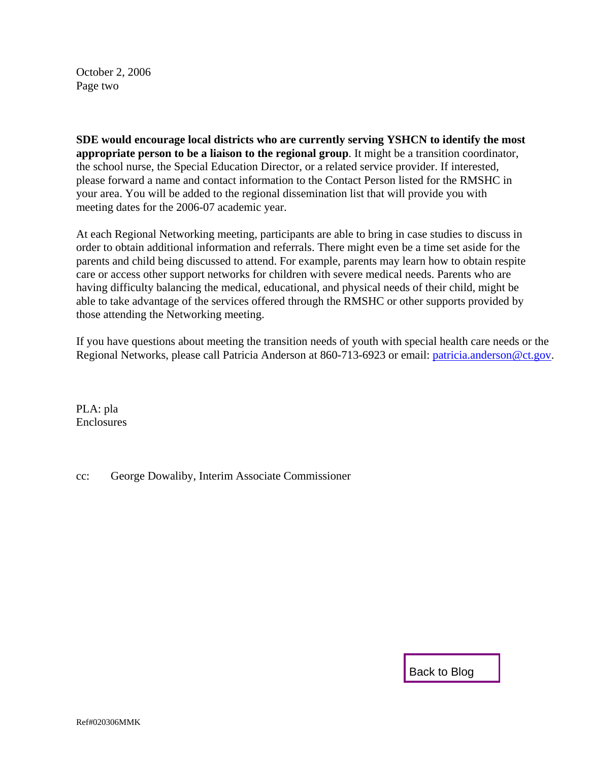October 2, 2006 Page two

**SDE would encourage local districts who are currently serving YSHCN to identify the most appropriate person to be a liaison to the regional group**. It might be a transition coordinator, the school nurse, the Special Education Director, or a related service provider. If interested, please forward a name and contact information to the Contact Person listed for the RMSHC in your area. You will be added to the regional dissemination list that will provide you with meeting dates for the 2006-07 academic year.

At each Regional Networking meeting, participants are able to bring in case studies to discuss in order to obtain additional information and referrals. There might even be a time set aside for the parents and child being discussed to attend. For example, parents may learn how to obtain respite care or access other support networks for children with severe medical needs. Parents who are having difficulty balancing the medical, educational, and physical needs of their child, might be able to take advantage of the services offered through the RMSHC or other supports provided by those attending the Networking meeting.

If you have questions about meeting the transition needs of youth with special health care needs or the Regional Networks, please call Patricia Anderson at 860-713-6923 or email: [patricia.anderson@ct.gov](mailto:patricia.anderson@ct.gov).

PLA: pla **Enclosures** 

cc: George Dowaliby, Interim Associate Commissioner

[Back to Blog](#page-0-0)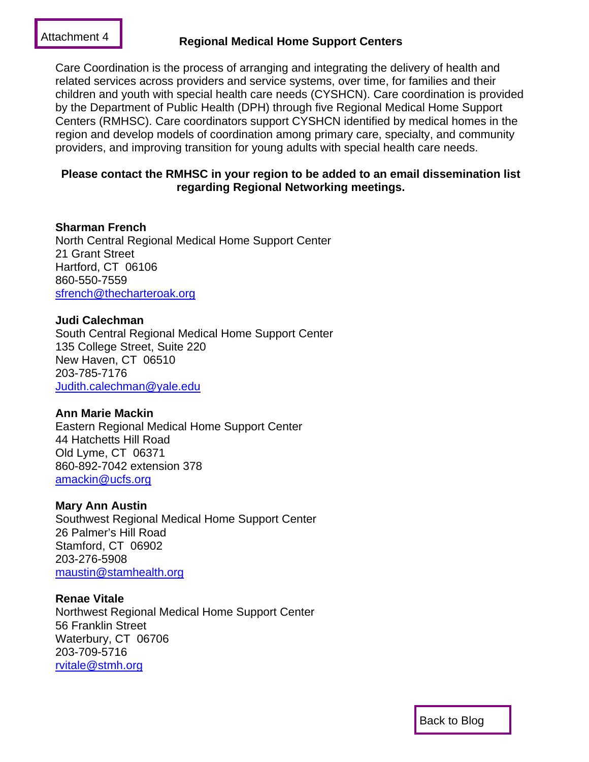# [Attachment 4](#page-6-0) **Regional Medical Home Support Centers**

Care Coordination is the process of arranging and integrating the delivery of health and related services across providers and service systems, over time, for families and their children and youth with special health care needs (CYSHCN). Care coordination is provided by the Department of Public Health (DPH) through five Regional Medical Home Support Centers (RMHSC). Care coordinators support CYSHCN identified by medical homes in the region and develop models of coordination among primary care, specialty, and community providers, and improving transition for young adults with special health care needs.

# **Please contact the RMHSC in your region to be added to an email dissemination list regarding Regional Networking meetings.**

# **Sharman French**  North Central Regional Medical Home Support Center 21 Grant Street Hartford, CT 06106 860-550-7559 [sfrench@thecharteroak.org](mailto:sfrench@thecharteroak.org)

# **Judi Calechman**

South Central Regional Medical Home Support Center 135 College Street, Suite 220 New Haven, CT 06510 203-785-7176 [Judith.calechman@yale.edu](mailto:Judith.calechman@yale.edu)

# **Ann Marie Mackin**

Eastern Regional Medical Home Support Center 44 Hatchetts Hill Road Old Lyme, CT 06371 860-892-7042 extension 378 [amackin@ucfs.org](mailto:amackin@ucfs.org)

# **Mary Ann Austin**

Southwest Regional Medical Home Support Center 26 Palmer's Hill Road Stamford, CT 06902 203-276-5908 [maustin@stamhealth.org](mailto:maustin@stamhealth.org)

# **Renae Vitale**

Northwest Regional Medical Home Support Center 56 Franklin Street Waterbury, CT 06706 203-709-5716 [rvitale@stmh.org](mailto:rvitale@stmh.org)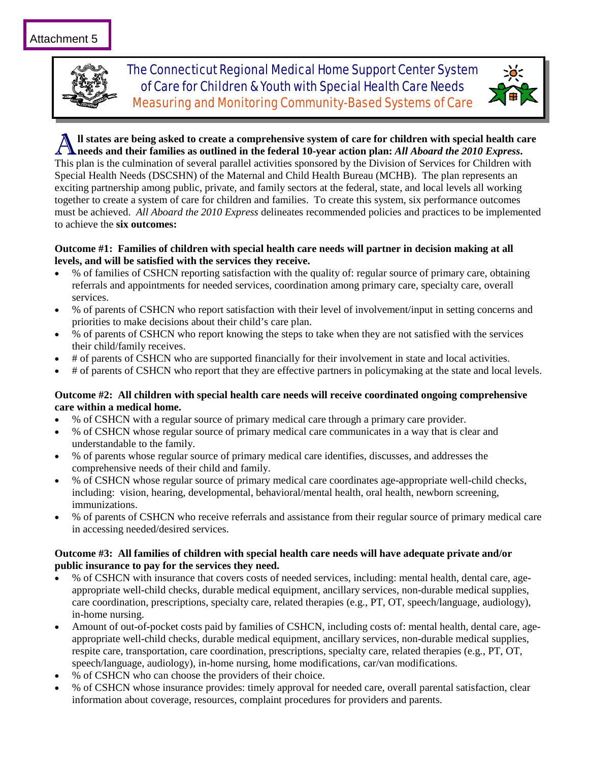

The Connecticut Regional Medical Home Support Center System of Care for Children & Youth with Special Health Care Needs Measuring and Monitoring Community-Based Systems of Care



A**ll states are being asked to create a comprehensive system of care for children with special health care**   $\Lambda$  needs and their families as outlined in the federal 10-year action plan: *All Aboard the 2010 Express*. This plan is the culmination of several parallel activities sponsored by the Division of Services for Children with Special Health Needs (DSCSHN) of the Maternal and Child Health Bureau (MCHB). The plan represents an exciting partnership among public, private, and family sectors at the federal, state, and local levels all working together to create a system of care for children and families. To create this system, six performance outcomes must be achieved. *All Aboard the 2010 Express* delineates recommended policies and practices to be implemented to achieve the **six outcomes:** 

#### **Outcome #1: Families of children with special health care needs will partner in decision making at all levels, and will be satisfied with the services they receive.**

- % of families of CSHCN reporting satisfaction with the quality of: regular source of primary care, obtaining referrals and appointments for needed services, coordination among primary care, specialty care, overall services.
- % of parents of CSHCN who report satisfaction with their level of involvement/input in setting concerns and priorities to make decisions about their child's care plan.
- % of parents of CSHCN who report knowing the steps to take when they are not satisfied with the services their child/family receives.
- # of parents of CSHCN who are supported financially for their involvement in state and local activities.
- # of parents of CSHCN who report that they are effective partners in policymaking at the state and local levels.

#### **Outcome #2: All children with special health care needs will receive coordinated ongoing comprehensive care within a medical home.**

- % of CSHCN with a regular source of primary medical care through a primary care provider.
- % of CSHCN whose regular source of primary medical care communicates in a way that is clear and understandable to the family.
- % of parents whose regular source of primary medical care identifies, discusses, and addresses the comprehensive needs of their child and family.
- % of CSHCN whose regular source of primary medical care coordinates age-appropriate well-child checks, including: vision, hearing, developmental, behavioral/mental health, oral health, newborn screening, immunizations.
- % of parents of CSHCN who receive referrals and assistance from their regular source of primary medical care in accessing needed/desired services.

#### **Outcome #3: All families of children with special health care needs will have adequate private and/or public insurance to pay for the services they need.**

- % of CSHCN with insurance that covers costs of needed services, including: mental health, dental care, ageappropriate well-child checks, durable medical equipment, ancillary services, non-durable medical supplies, care coordination, prescriptions, specialty care, related therapies (e.g., PT, OT, speech/language, audiology), in-home nursing.
- Amount of out-of-pocket costs paid by families of CSHCN, including costs of: mental health, dental care, ageappropriate well-child checks, durable medical equipment, ancillary services, non-durable medical supplies, respite care, transportation, care coordination, prescriptions, specialty care, related therapies (e.g., PT, OT, speech/language, audiology), in-home nursing, home modifications, car/van modifications.
- % of CSHCN who can choose the providers of their choice.
- % of CSHCN whose insurance provides: timely approval for needed care, overall parental satisfaction, clear information about coverage, resources, complaint procedures for providers and parents.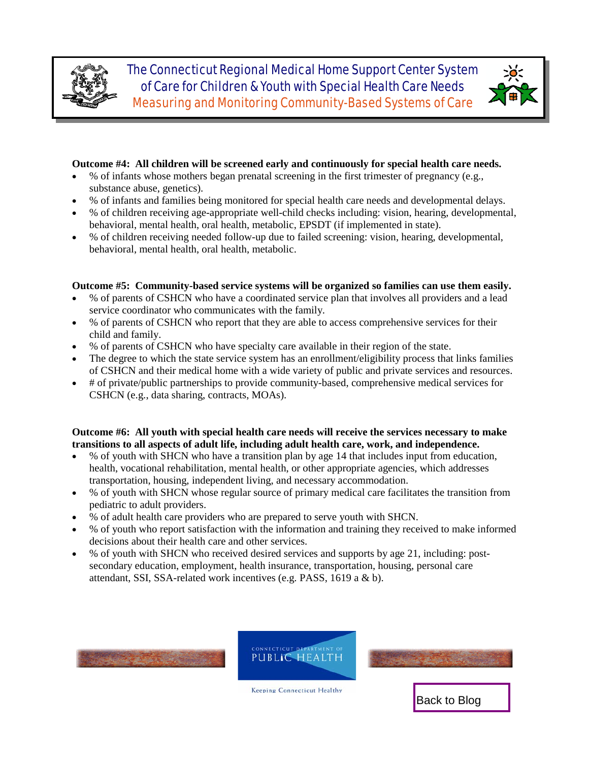<span id="page-14-0"></span>

The Connecticut Regional Medical Home Support Center System of Care for Children & Youth with Special Health Care Needs Measuring and Monitoring Community-Based Systems of Care



#### **Outcome #4: All children will be screened early and continuously for special health care needs.**

- % of infants whose mothers began prenatal screening in the first trimester of pregnancy (e.g., substance abuse, genetics).
- % of infants and families being monitored for special health care needs and developmental delays.
- % of children receiving age-appropriate well-child checks including: vision, hearing, developmental, behavioral, mental health, oral health, metabolic, EPSDT (if implemented in state).
- % of children receiving needed follow-up due to failed screening: vision, hearing, developmental, behavioral, mental health, oral health, metabolic.

#### **Outcome #5: Community-based service systems will be organized so families can use them easily.**

- % of parents of CSHCN who have a coordinated service plan that involves all providers and a lead service coordinator who communicates with the family.
- % of parents of CSHCN who report that they are able to access comprehensive services for their child and family.
- % of parents of CSHCN who have specialty care available in their region of the state.
- The degree to which the state service system has an enrollment/eligibility process that links families of CSHCN and their medical home with a wide variety of public and private services and resources.
- # of private/public partnerships to provide community-based, comprehensive medical services for CSHCN (e.g., data sharing, contracts, MOAs).

#### **Outcome #6: All youth with special health care needs will receive the services necessary to make transitions to all aspects of adult life, including adult health care, work, and independence.**

- % of youth with SHCN who have a transition plan by age 14 that includes input from education, health, vocational rehabilitation, mental health, or other appropriate agencies, which addresses transportation, housing, independent living, and necessary accommodation.
- % of youth with SHCN whose regular source of primary medical care facilitates the transition from pediatric to adult providers.
- % of adult health care providers who are prepared to serve youth with SHCN.
- % of youth who report satisfaction with the information and training they received to make informed decisions about their health care and other services.
- % of youth with SHCN who received desired services and supports by age 21, including: postsecondary education, employment, health insurance, transportation, housing, personal care attendant, SSI, SSA-related work incentives (e.g. PASS, 1619 a & b).







**Keeping Connecticut Healthy**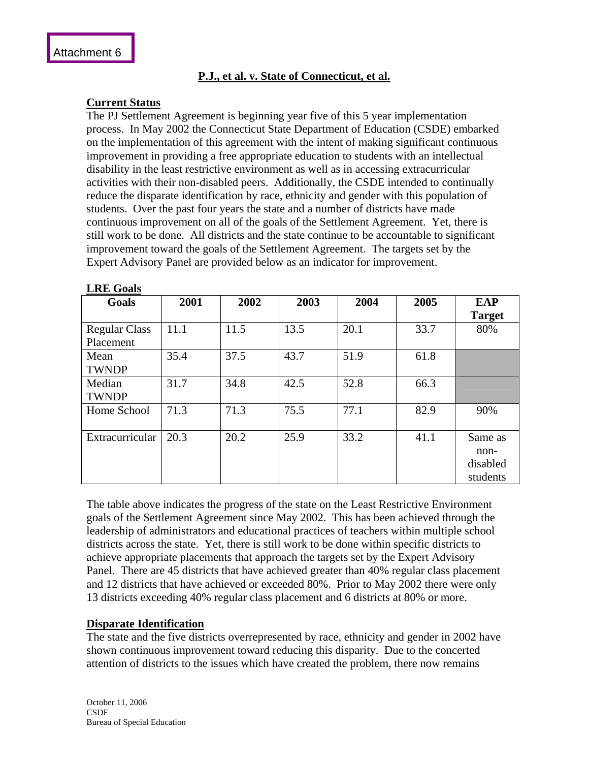# **P.J., et al. v. State of Connecticut, et al.**

# **Current Status**

The PJ Settlement Agreement is beginning year five of this 5 year implementation process. In May 2002 the Connecticut State Department of Education (CSDE) embarked on the implementation of this agreement with the intent of making significant continuous improvement in providing a free appropriate education to students with an intellectual disability in the least restrictive environment as well as in accessing extracurricular activities with their non-disabled peers. Additionally, the CSDE intended to continually reduce the disparate identification by race, ethnicity and gender with this population of students. Over the past four years the state and a number of districts have made continuous improvement on all of the goals of the Settlement Agreement. Yet, there is still work to be done. All districts and the state continue to be accountable to significant improvement toward the goals of the Settlement Agreement. The targets set by the Expert Advisory Panel are provided below as an indicator for improvement.

| Goals                             | 2001 | 2002 | 2003 | 2004 | 2005 | <b>EAP</b><br><b>Target</b>             |
|-----------------------------------|------|------|------|------|------|-----------------------------------------|
| <b>Regular Class</b><br>Placement | 11.1 | 11.5 | 13.5 | 20.1 | 33.7 | 80%                                     |
| Mean<br><b>TWNDP</b>              | 35.4 | 37.5 | 43.7 | 51.9 | 61.8 |                                         |
| Median<br><b>TWNDP</b>            | 31.7 | 34.8 | 42.5 | 52.8 | 66.3 |                                         |
| Home School                       | 71.3 | 71.3 | 75.5 | 77.1 | 82.9 | 90%                                     |
| Extracurricular                   | 20.3 | 20.2 | 25.9 | 33.2 | 41.1 | Same as<br>non-<br>disabled<br>students |

The table above indicates the progress of the state on the Least Restrictive Environment goals of the Settlement Agreement since May 2002. This has been achieved through the leadership of administrators and educational practices of teachers within multiple school districts across the state. Yet, there is still work to be done within specific districts to achieve appropriate placements that approach the targets set by the Expert Advisory Panel. There are 45 districts that have achieved greater than 40% regular class placement and 12 districts that have achieved or exceeded 80%. Prior to May 2002 there were only 13 districts exceeding 40% regular class placement and 6 districts at 80% or more.

#### **Disparate Identification**

The state and the five districts overrepresented by race, ethnicity and gender in 2002 have shown continuous improvement toward reducing this disparity. Due to the concerted attention of districts to the issues which have created the problem, there now remains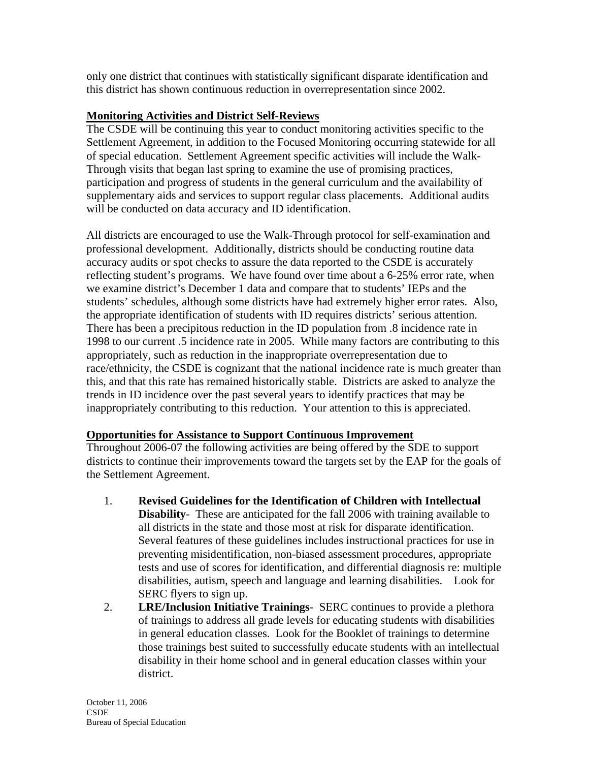only one district that continues with statistically significant disparate identification and this district has shown continuous reduction in overrepresentation since 2002.

# **Monitoring Activities and District Self-Reviews**

The CSDE will be continuing this year to conduct monitoring activities specific to the Settlement Agreement, in addition to the Focused Monitoring occurring statewide for all of special education. Settlement Agreement specific activities will include the Walk-Through visits that began last spring to examine the use of promising practices, participation and progress of students in the general curriculum and the availability of supplementary aids and services to support regular class placements. Additional audits will be conducted on data accuracy and ID identification.

All districts are encouraged to use the Walk-Through protocol for self-examination and professional development. Additionally, districts should be conducting routine data accuracy audits or spot checks to assure the data reported to the CSDE is accurately reflecting student's programs. We have found over time about a 6-25% error rate, when we examine district's December 1 data and compare that to students' IEPs and the students' schedules, although some districts have had extremely higher error rates. Also, the appropriate identification of students with ID requires districts' serious attention. There has been a precipitous reduction in the ID population from .8 incidence rate in 1998 to our current .5 incidence rate in 2005. While many factors are contributing to this appropriately, such as reduction in the inappropriate overrepresentation due to race/ethnicity, the CSDE is cognizant that the national incidence rate is much greater than this, and that this rate has remained historically stable. Districts are asked to analyze the trends in ID incidence over the past several years to identify practices that may be inappropriately contributing to this reduction. Your attention to this is appreciated.

# **Opportunities for Assistance to Support Continuous Improvement**

Throughout 2006-07 the following activities are being offered by the SDE to support districts to continue their improvements toward the targets set by the EAP for the goals of the Settlement Agreement.

- 1. **Revised Guidelines for the Identification of Children with Intellectual Disability**- These are anticipated for the fall 2006 with training available to all districts in the state and those most at risk for disparate identification. Several features of these guidelines includes instructional practices for use in preventing misidentification, non-biased assessment procedures, appropriate tests and use of scores for identification, and differential diagnosis re: multiple disabilities, autism, speech and language and learning disabilities. Look for SERC flyers to sign up.
- 2. **LRE/Inclusion Initiative Trainings** SERC continues to provide a plethora of trainings to address all grade levels for educating students with disabilities in general education classes. Look for the Booklet of trainings to determine those trainings best suited to successfully educate students with an intellectual disability in their home school and in general education classes within your district.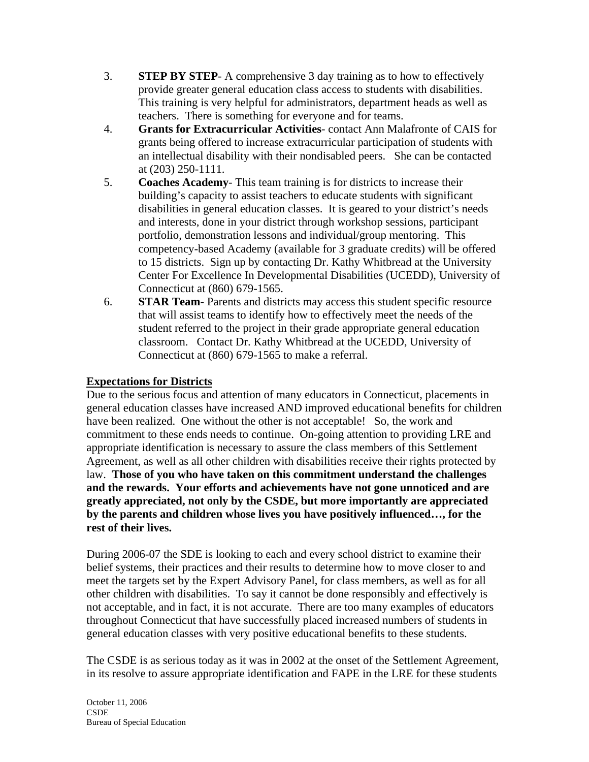- 3. **STEP BY STEP** A comprehensive 3 day training as to how to effectively provide greater general education class access to students with disabilities. This training is very helpful for administrators, department heads as well as teachers. There is something for everyone and for teams.
- 4. **Grants for Extracurricular Activities** contact Ann Malafronte of CAIS for grants being offered to increase extracurricular participation of students with an intellectual disability with their nondisabled peers. She can be contacted at (203) 250-1111.
- 5. **Coaches Academy** This team training is for districts to increase their building's capacity to assist teachers to educate students with significant disabilities in general education classes. It is geared to your district's needs and interests, done in your district through workshop sessions, participant portfolio, demonstration lessons and individual/group mentoring. This competency-based Academy (available for 3 graduate credits) will be offered to 15 districts. Sign up by contacting Dr. Kathy Whitbread at the University Center For Excellence In Developmental Disabilities (UCEDD), University of Connecticut at (860) 679-1565.
- 6. **STAR Team** Parents and districts may access this student specific resource that will assist teams to identify how to effectively meet the needs of the student referred to the project in their grade appropriate general education classroom. Contact Dr. Kathy Whitbread at the UCEDD, University of Connecticut at (860) 679-1565 to make a referral.

# **Expectations for Districts**

Due to the serious focus and attention of many educators in Connecticut, placements in general education classes have increased AND improved educational benefits for children have been realized. One without the other is not acceptable! So, the work and commitment to these ends needs to continue. On-going attention to providing LRE and appropriate identification is necessary to assure the class members of this Settlement Agreement, as well as all other children with disabilities receive their rights protected by law. **Those of you who have taken on this commitment understand the challenges and the rewards. Your efforts and achievements have not gone unnoticed and are greatly appreciated, not only by the CSDE, but more importantly are appreciated by the parents and children whose lives you have positively influenced…, for the rest of their lives.** 

During 2006-07 the SDE is looking to each and every school district to examine their belief systems, their practices and their results to determine how to move closer to and meet the targets set by the Expert Advisory Panel, for class members, as well as for all other children with disabilities. To say it cannot be done responsibly and effectively is not acceptable, and in fact, it is not accurate. There are too many examples of educators throughout Connecticut that have successfully placed increased numbers of students in general education classes with very positive educational benefits to these students.

The CSDE is as serious today as it was in 2002 at the onset of the Settlement Agreement, in its resolve to assure appropriate identification and FAPE in the LRE for these students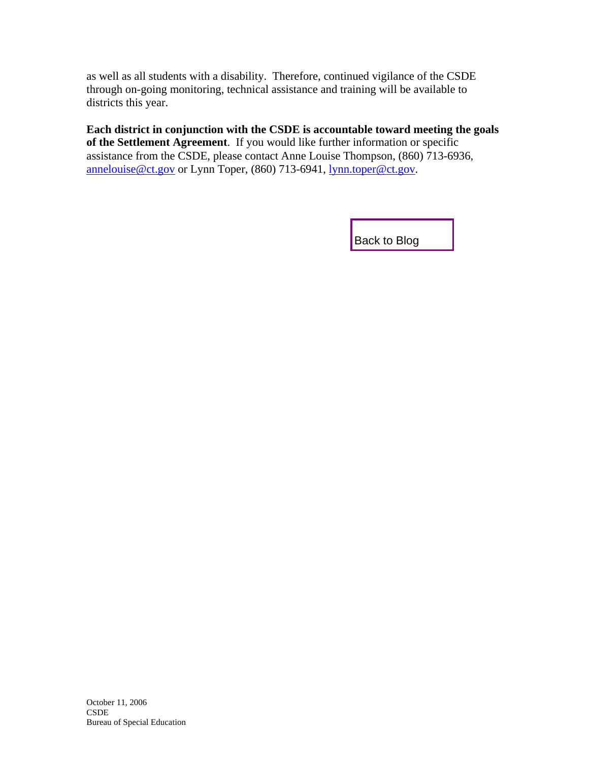<span id="page-18-0"></span>as well as all students with a disability. Therefore, continued vigilance of the CSDE through on-going monitoring, technical assistance and training will be available to districts this year.

**Each district in conjunction with the CSDE is accountable toward meeting the goals of the Settlement Agreement**. If you would like further information or specific assistance from the CSDE, please contact Anne Louise Thompson, (860) 713-6936, [annelouise@ct.gov](mailto:annelouise@ct.gov) or Lynn Toper, (860) 713-6941, [lynn.toper@ct.gov.](mailto:lynn.toper@ct.gov)

[Back to Blog](#page-2-0)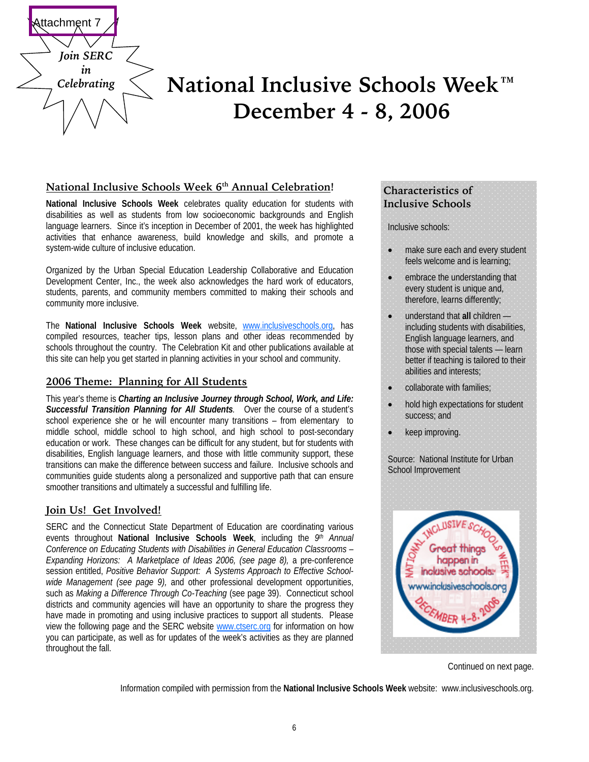

# **December 4 - 8, 2006**  *Celebrating* **National Inclusive Schools Week™**

#### National Inclusive Schools Week 6<sup>th</sup> Annual Celebration!

**National Inclusive Schools Week** celebrates quality education for students with disabilities as well as students from low socioeconomic backgrounds and English language learners. Since it's inception in December of 2001, the week has highlighted activities that enhance awareness, build knowledge and skills, and promote a system-wide culture of inclusive education.

Organized by the Urban Special Education Leadership Collaborative and Education Development Center, Inc., the week also acknowledges the hard work of educators, students, parents, and community members committed to making their schools and community more inclusive.

The **National Inclusive Schools Week** website, [www.inclusiveschools.org,](http://www.inclusiveschools.org) has compiled resources, teacher tips, lesson plans and other ideas recommended by schools throughout the country. The Celebration Kit and other publications available at this site can help you get started in planning activities in your school and community.

# **2006 Theme: Planning for All Students**

This year's theme is *Charting an Inclusive Journey through School, Work, and Life: Successful Transition Planning for All Students.* Over the course of a student's school experience she or he will encounter many transitions – from elementary to middle school, middle school to high school, and high school to post-secondary education or work. These changes can be difficult for any student, but for students with disabilities, English language learners, and those with little community support, these transitions can make the difference between success and failure. Inclusive schools and communities guide students along a personalized and supportive path that can ensure smoother transitions and ultimately a successful and fulfilling life.

# **Join Us! Get Involved!**

SERC and the Connecticut State Department of Education are coordinating various events throughout **National Inclusive Schools Week**, including the *9th Annual Conference on Educating Students with Disabilities in General Education Classrooms – Expanding Horizons: A Marketplace of Ideas 2006, (see page 8),* a pre-conference session entitled, *Positive Behavior Support: A Systems Approach to Effective Schoolwide Management (see page 9),* and other professional development opportunities, such as *Making a Difference Through Co-Teaching* (see page 39). Connecticut school districts and community agencies will have an opportunity to share the progress they have made in promoting and using inclusive practices to support all students. Please view the following page and the SERC website [www.ctserc.org for](http://www.ctserc.org) information on how you can participate, as well as for updates of the week's activities as they are planned throughout the fall.

### **Characteristics of Inclusive Schools**

Inclusive schools:

- make sure each and every student feels welcome and is learning;
- embrace the understanding that every student is unique and, therefore, learns differently;
- understand that **all** children including students with disabilities, English language learners, and those with special talents — learn better if teaching is tailored to their abilities and interests;
- collaborate with families:
- hold high expectations for student success; and
- keep improving.

Source: National Institute for Urban School Improvement



Continued on next page.

Information compiled with permission from the **National Inclusive Schools Week** website: [www.inclusiveschools.org.](http://www.inclusiveschools.org)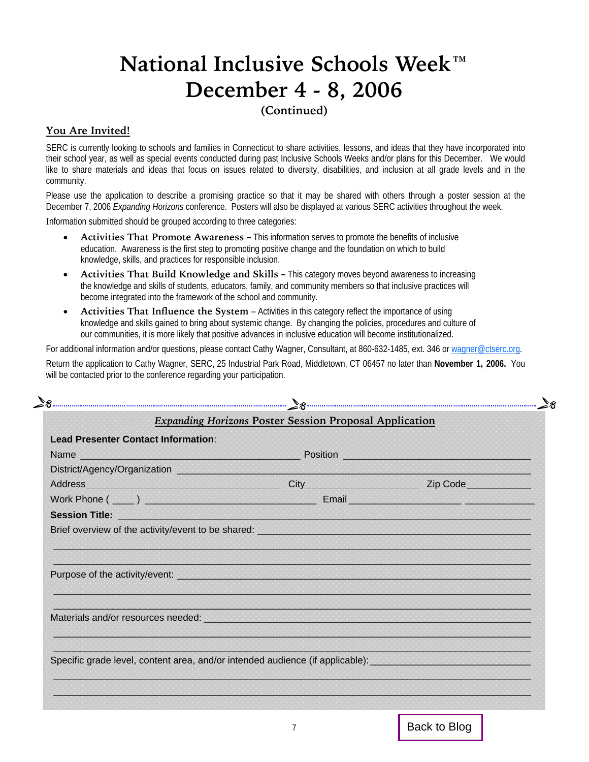# <span id="page-20-0"></span>**National Inclusive Schools Week™ December 4 - 8, 2006**

# **(Continued)**

# **You Are Invited!**

SERC is currently looking to schools and families in Connecticut to share activities, lessons, and ideas that they have incorporated into their school year, as well as special events conducted during past Inclusive Schools Weeks and/or plans for this December. We would like to share materials and ideas that focus on issues related to diversity, disabilities, and inclusion at all grade levels and in the community.

Please use the application to describe a promising practice so that it may be shared with others through a poster session at the December 7, 2006 *Expanding Horizons* conference. Posters will also be displayed at various SERC activities throughout the week.

Information submitted should be grouped according to three categories:

- **Activities That Promote Awareness** This information serves to promote the benefits of inclusive education. Awareness is the first step to promoting positive change and the foundation on which to build knowledge, skills, and practices for responsible inclusion.
- **Activities That Build Knowledge and Skills** This category moves beyond awareness to increasing the knowledge and skills of students, educators, family, and community members so that inclusive practices will become integrated into the framework of the school and community.
- **Activities That Influence the System**  Activities in this category reflect the importance of using knowledge and skills gained to bring about systemic change. By changing the policies, procedures and culture of our communities, it is more likely that positive advances in inclusive education will become institutionalized.

For additional information and/or questions, please contact Cathy Wagner, Consultant, at 860-632-1485, ext. 346 or [wagner@ctserc.org.](mailto:wagner@ctserc.org)

Return the application to Cathy Wagner, SERC, 25 Industrial Park Road, Middletown, CT 06457 no later than **November 1, 2006.** You will be contacted prior to the conference regarding your participation.

|                                     | 28                                                                                                                                                                                                                                 |  |
|-------------------------------------|------------------------------------------------------------------------------------------------------------------------------------------------------------------------------------------------------------------------------------|--|
|                                     | <b>Expanding Horizons Poster Session Proposal Application</b>                                                                                                                                                                      |  |
| Lead Presenter Contact Information: |                                                                                                                                                                                                                                    |  |
|                                     |                                                                                                                                                                                                                                    |  |
|                                     | District/Agency/Organization <b>Contract the Contract of Contract of Contract of Contract of Contract of Contract of</b>                                                                                                           |  |
|                                     | Address and the contract of the contract of the contract of the contract of the contract of the contract of the contract of the contract of the contract of the contract of the contract of the contract of the contract of th     |  |
|                                     |                                                                                                                                                                                                                                    |  |
|                                     | Session Title: <u>Discussion of</u> the set of the set of the set of the set of the set of the set of the set of the set of the set of the set of the set of the set of the set of the set of the set of the set of the set of the |  |
|                                     | Brief overview of the activity/event to be shared: <b>And the activity of the control of the state of the activity</b>                                                                                                             |  |
|                                     |                                                                                                                                                                                                                                    |  |
|                                     |                                                                                                                                                                                                                                    |  |
|                                     |                                                                                                                                                                                                                                    |  |
|                                     |                                                                                                                                                                                                                                    |  |
|                                     |                                                                                                                                                                                                                                    |  |
|                                     | Materials and/or resources needed: New York State and State and State and State and State and State and State and                                                                                                                  |  |
|                                     |                                                                                                                                                                                                                                    |  |
|                                     |                                                                                                                                                                                                                                    |  |
|                                     | Specific grade level, content area, and/or intended audience (if applicable): example and and the specific specific specific specific specific specific specific specific specific specific specific specific specific specifi     |  |
|                                     |                                                                                                                                                                                                                                    |  |
|                                     |                                                                                                                                                                                                                                    |  |
|                                     |                                                                                                                                                                                                                                    |  |